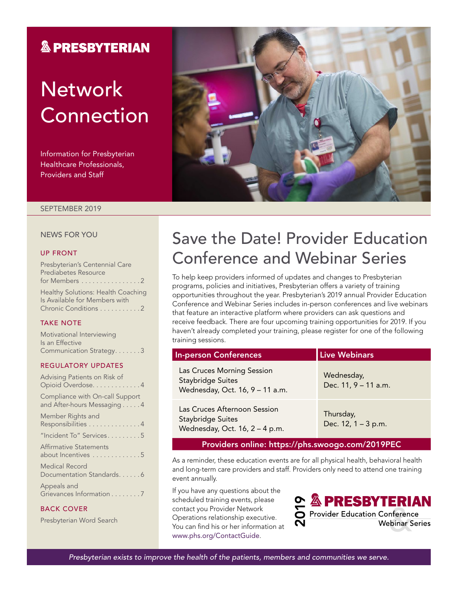### **& PRESBYTERIAN**

# **Network** Connection

Information for Presbyterian Healthcare Professionals, Providers and Staff



#### SEPTEMBER 2019

### NEWS FOR YOU

#### UP FRONT

Presbyterian's Centennial Care Prediabetes Resource for Members . . . . . . . . . . . . . . . 2 Healthy Solutions: Health Coaching

Is Available for Members with Chronic Conditions . . . . . . . . . . 2

#### TAKE NOTE

| Motivational Interviewing |  |  |  |  |
|---------------------------|--|--|--|--|
| Is an Effective           |  |  |  |  |
| Communication Strategy. 3 |  |  |  |  |

#### REGULATORY UPDATES

| Advising Patients on Risk of<br>Opioid Overdose. 4             |
|----------------------------------------------------------------|
| Compliance with On-call Support<br>and After-hours Messaging 4 |
| Member Rights and<br>Responsibilities 4                        |
| "Incident To" Services5                                        |
| <b>Affirmative Statements</b><br>about Incentives 5            |
| Medical Record<br>Documentation Standards. 6                   |
| Appeals and<br>Grievances Information 7                        |

#### BACK COVER

Presbyterian Word Search

## Save the Date! Provider Education Conference and Webinar Series

To help keep providers informed of updates and changes to Presbyterian programs, policies and initiatives, Presbyterian offers a variety of training opportunities throughout the year. Presbyterian's 2019 annual Provider Education Conference and Webinar Series includes in-person conferences and live webinars that feature an interactive platform where providers can ask questions and receive feedback. There are four upcoming training opportunities for 2019. If you haven't already completed your training, please register for one of the following training sessions.

| <b>In-person Conferences</b>                                                               | <b>Live Webinars</b>               |  |  |  |  |  |  |  |
|--------------------------------------------------------------------------------------------|------------------------------------|--|--|--|--|--|--|--|
| Las Cruces Morning Session<br><b>Staybridge Suites</b><br>Wednesday, Oct. 16, 9 - 11 a.m.  | Wednesday,<br>Dec. 11, 9 - 11 a.m. |  |  |  |  |  |  |  |
| Las Cruces Afternoon Session<br><b>Staybridge Suites</b><br>Wednesday, Oct. 16, 2 - 4 p.m. | Thursday,<br>Dec. 12, 1 - 3 p.m.   |  |  |  |  |  |  |  |
| Providers online: https://phs.swoogo.com/2019PEC                                           |                                    |  |  |  |  |  |  |  |

As a reminder, these education events are for all physical health, behavioral health and long-term care providers and staff. Providers only need to attend one training event annually.

If you have any questions about the scheduled training events, please contact you Provider Network Operations relationship executive. You can find his or her information at [www.phs.org/ContactGuide](file:///\\Pacfile9\groups\Fluent%20Provider%20Network\Communications\Newsletters\Presbyterian\2019\4.%20July\www.phs.org\ContactGuide).

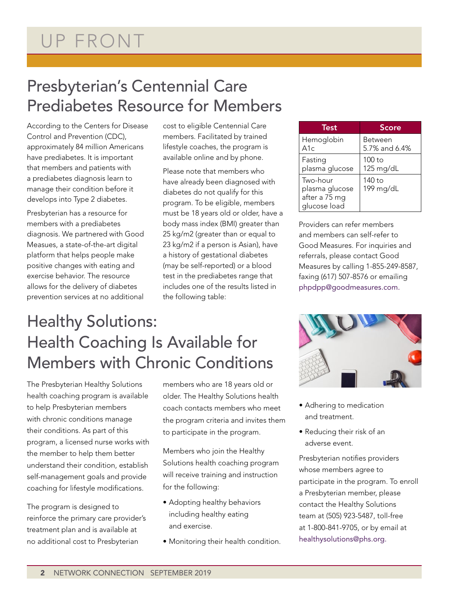## Presbyterian's Centennial Care Prediabetes Resource for Members

According to the Centers for Disease Control and Prevention (CDC), approximately 84 million Americans have prediabetes. It is important that members and patients with a prediabetes diagnosis learn to manage their condition before it develops into Type 2 diabetes.

Presbyterian has a resource for members with a prediabetes diagnosis. We partnered with Good Measues, a state-of-the-art digital platform that helps people make positive changes with eating and exercise behavior. The resource allows for the delivery of diabetes prevention services at no additional

cost to eligible Centennial Care members. Facilitated by trained lifestyle coaches, the program is available online and by phone.

Please note that members who have already been diagnosed with diabetes do not qualify for this program. To be eligible, members must be 18 years old or older, have a body mass index (BMI) greater than 25 kg/m2 (greater than or equal to 23 kg/m2 if a person is Asian), have a history of gestational diabetes (may be self-reported) or a blood test in the prediabetes range that includes one of the results listed in the following table:

| Test                                                        | <b>Score</b>             |
|-------------------------------------------------------------|--------------------------|
| Hemoglobin<br>A1c                                           | Between<br>5.7% and 6.4% |
| Fasting<br>plasma glucose                                   | $100$ to<br>125 mg/dL    |
| Two-hour<br>plasma glucose<br>after a 75 mg<br>glucose load | 140 to<br>199 mg/dL      |

Providers can refer members and members can self-refer to Good Measures. For inquiries and referrals, please contact Good Measures by calling 1-855-249-8587, faxing (617) 507-8576 or emailing [phpdpp@goodmeasures.com](mailto:phpdpp@goodmeasures.com).

## Healthy Solutions: Health Coaching Is Available for Members with Chronic Conditions

The Presbyterian Healthy Solutions health coaching program is available to help Presbyterian members with chronic conditions manage their conditions. As part of this program, a licensed nurse works with the member to help them better understand their condition, establish self-management goals and provide coaching for lifestyle modifications.

The program is designed to reinforce the primary care provider's treatment plan and is available at no additional cost to Presbyterian

members who are 18 years old or older. The Healthy Solutions health coach contacts members who meet the program criteria and invites them to participate in the program.

Members who join the Healthy Solutions health coaching program will receive training and instruction for the following:

- Adopting healthy behaviors including healthy eating and exercise.
- Monitoring their health condition.



- Adhering to medication and treatment.
- Reducing their risk of an adverse event.

Presbyterian notifies providers whose members agree to participate in the program. To enroll a Presbyterian member, please contact the Healthy Solutions team at (505) 923-5487, toll-free at 1-800-841-9705, or by email at [healthysolutions@phs.org](mailto:healthysolutions@phs.org).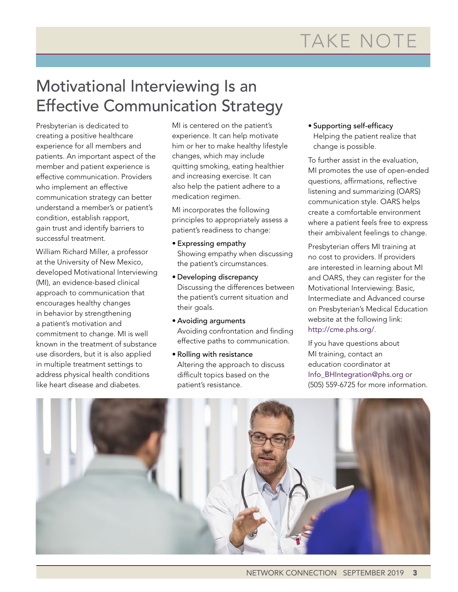# TAKE NOTE

## Motivational Interviewing Is an Effective Communication Strategy

Presbyterian is dedicated to creating a positive healthcare experience for all members and patients. An important aspect of the member and patient experience is effective communication. Providers who implement an effective communication strategy can better understand a member's or patient's condition, establish rapport, gain trust and identify barriers to successful treatment.

William Richard Miller, a professor at the University of New Mexico, developed Motivational Interviewing (MI), an evidence-based clinical approach to communication that encourages healthy changes in behavior by strengthening a patient's motivation and commitment to change. MI is well known in the treatment of substance use disorders, but it is also applied in multiple treatment settings to address physical health conditions like heart disease and diabetes.

MI is centered on the patient's experience. It can help motivate him or her to make healthy lifestyle changes, which may include quitting smoking, eating healthier and increasing exercise. It can also help the patient adhere to a medication regimen.

MI incorporates the following principles to appropriately assess a patient's readiness to change:

- Expressing empathy Showing empathy when discussing the patient's circumstances.
- Developing discrepancy Discussing the differences between the patient's current situation and their goals.
- Avoiding arguments Avoiding confrontation and finding effective paths to communication.
- Rolling with resistance Altering the approach to discuss difficult topics based on the patient's resistance.

• Supporting self-efficacy Helping the patient realize that change is possible.

To further assist in the evaluation, MI promotes the use of open-ended questions, affirmations, reflective listening and summarizing (OARS) communication style. OARS helps create a comfortable environment where a patient feels free to express their ambivalent feelings to change.

Presbyterian offers MI training at no cost to providers. If providers are interested in learning about MI and OARS, they can register for the Motivational Interviewing: Basic, Intermediate and Advanced course on Presbyterian's Medical Education website at the following link: <http://cme.phs.org/>.

If you have questions about MI training, contact an education coordinator at [Info\\_BHIntegration@phs.org](mailto:Info_BHIntegration@phs.org) or (505) 559-6725 for more information.

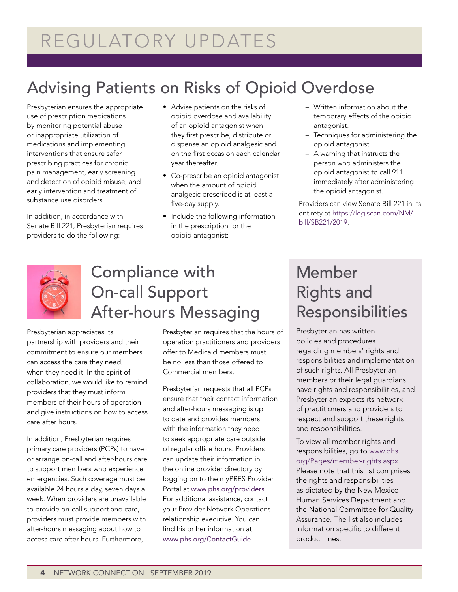## REGULATORY UPDATES

## Advising Patients on Risks of Opioid Overdose

Presbyterian ensures the appropriate use of prescription medications by monitoring potential abuse or inappropriate utilization of medications and implementing interventions that ensure safer prescribing practices for chronic pain management, early screening and detection of opioid misuse, and early intervention and treatment of substance use disorders.

In addition, in accordance with Senate Bill 221, Presbyterian requires providers to do the following:

- Advise patients on the risks of opioid overdose and availability of an opioid antagonist when they first prescribe, distribute or dispense an opioid analgesic and on the first occasion each calendar year thereafter.
- Co-prescribe an opioid antagonist when the amount of opioid analgesic prescribed is at least a five-day supply.
- Include the following information in the prescription for the opioid antagonist:
- Written information about the temporary effects of the opioid antagonist.
- Techniques for administering the opioid antagonist.
- A warning that instructs the person who administers the opioid antagonist to call 911 immediately after administering the opioid antagonist.

Providers can view Senate Bill 221 in its entirety at [https://legiscan.com/NM/](https://legiscan.com/NM/bill/SB221/2019) [bill/SB221/2019](https://legiscan.com/NM/bill/SB221/2019).



## Compliance with On-call Support After-hours Messaging

Presbyterian appreciates its partnership with providers and their commitment to ensure our members can access the care they need, when they need it. In the spirit of collaboration, we would like to remind providers that they must inform members of their hours of operation and give instructions on how to access care after hours.

In addition, Presbyterian requires primary care providers (PCPs) to have or arrange on-call and after-hours care to support members who experience emergencies. Such coverage must be available 24 hours a day, seven days a week. When providers are unavailable to provide on-call support and care, providers must provide members with after-hours messaging about how to access care after hours. Furthermore,

Presbyterian requires that the hours of operation practitioners and providers offer to Medicaid members must be no less than those offered to Commercial members.

Presbyterian requests that all PCPs ensure that their contact information and after-hours messaging is up to date and provides members with the information they need to seek appropriate care outside of regular office hours. Providers can update their information in the online provider directory by logging on to the myPRES Provider Portal at [www.phs.org/providers](http://www.phs.org/providers). For additional assistance, contact your Provider Network Operations relationship executive. You can find his or her information at [www.phs.org/ContactGuide](C:\\Users\\staylor7\\AppData\\Local\\Microsoft\\Windows\\INetCache\\Content.Outlook\\SHA276HY\\www.phs.org\\ContactGuide).

## Member Rights and Responsibilities

Presbyterian has written policies and procedures regarding members' rights and responsibilities and implementation of such rights. All Presbyterian members or their legal guardians have rights and responsibilities, and Presbyterian expects its network of practitioners and providers to respect and support these rights and responsibilities.

To view all member rights and responsibilities, go to [www.phs.](https://www.phs.org/Pages/member-rights.aspx) [org/Pages/member-rights.aspx](https://www.phs.org/Pages/member-rights.aspx). Please note that this list comprises the rights and responsibilities as dictated by the New Mexico Human Services Department and the National Committee for Quality Assurance. The list also includes information specific to different product lines.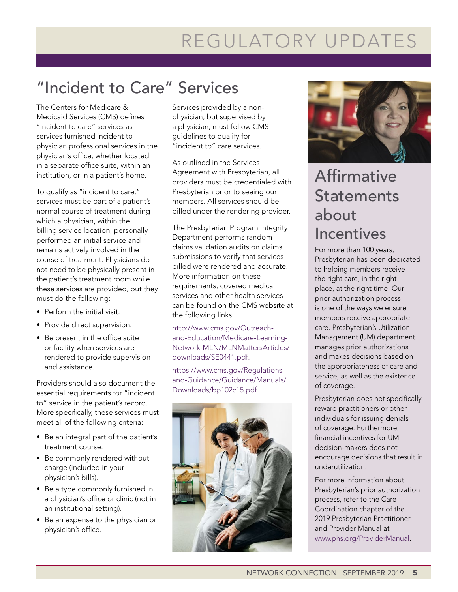# REGULATORY UPDATES

## "Incident to Care" Services

The Centers for Medicare & Medicaid Services (CMS) defines "incident to care" services as services furnished incident to physician professional services in the physician's office, whether located in a separate office suite, within an institution, or in a patient's home.

To qualify as "incident to care," services must be part of a patient's normal course of treatment during which a physician, within the billing service location, personally performed an initial service and remains actively involved in the course of treatment. Physicians do not need to be physically present in the patient's treatment room while these services are provided, but they must do the following:

- Perform the initial visit.
- Provide direct supervision.
- Be present in the office suite or facility when services are rendered to provide supervision and assistance.

Providers should also document the essential requirements for "incident to" service in the patient's record. More specifically, these services must meet all of the following criteria:

- Be an integral part of the patient's treatment course.
- Be commonly rendered without charge (included in your physician's bills).
- Be a type commonly furnished in a physician's office or clinic (not in an institutional setting).
- Be an expense to the physician or physician's office.

Services provided by a nonphysician, but supervised by a physician, must follow CMS guidelines to qualify for "incident to" care services.

As outlined in the Services Agreement with Presbyterian, all providers must be credentialed with Presbyterian prior to seeing our members. All services should be billed under the rendering provider.

The Presbyterian Program Integrity Department performs random claims validation audits on claims submissions to verify that services billed were rendered and accurate. More information on these requirements, covered medical services and other health services can be found on the CMS website at the following links:

[http://www.cms.gov/Outreach](http://www.cms.gov/Outreach-and-Education/Medicare-Learning-Network-MLN/MLNMattersArticles/downloads/SE0441.pdf)[and-Education/Medicare-Learning-](http://www.cms.gov/Outreach-and-Education/Medicare-Learning-Network-MLN/MLNMattersArticles/downloads/SE0441.pdf)[Network-MLN/MLNMattersArticles/](http://www.cms.gov/Outreach-and-Education/Medicare-Learning-Network-MLN/MLNMattersArticles/downloads/SE0441.pdf) [downloads/SE0441.pdf.](http://www.cms.gov/Outreach-and-Education/Medicare-Learning-Network-MLN/MLNMattersArticles/downloads/SE0441.pdf)

[https://www.cms.gov/Regulations](https://www.cms.gov/Regulations-and-Guidance/Guidance/Manuals/Downloads/bp102c15.pdf)[and-Guidance/Guidance/Manuals/](https://www.cms.gov/Regulations-and-Guidance/Guidance/Manuals/Downloads/bp102c15.pdf) [Downloads/bp102c15.pdf](https://www.cms.gov/Regulations-and-Guidance/Guidance/Manuals/Downloads/bp102c15.pdf)





### Affirmative **Statements** about **Incentives**

For more than 100 years, Presbyterian has been dedicated to helping members receive the right care, in the right place, at the right time. Our prior authorization process is one of the ways we ensure members receive appropriate care. Presbyterian's Utilization Management (UM) department manages prior authorizations and makes decisions based on the appropriateness of care and service, as well as the existence of coverage.

Presbyterian does not specifically reward practitioners or other individuals for issuing denials of coverage. Furthermore, financial incentives for UM decision-makers does not encourage decisions that result in underutilization.

For more information about Presbyterian's prior authorization process, refer to the Care Coordination chapter of the 2019 Presbyterian Practitioner and Provider Manual at [www.phs.org/ProviderManual.](http://www.phs.org/ProviderManual)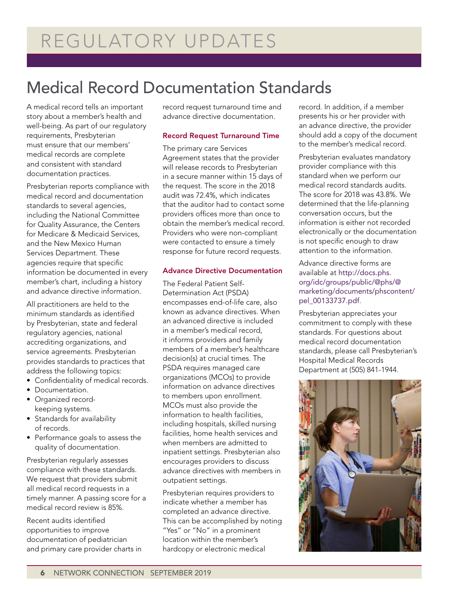## Medical Record Documentation Standards

A medical record tells an important story about a member's health and well-being. As part of our regulatory requirements, Presbyterian must ensure that our members' medical records are complete and consistent with standard documentation practices.

Presbyterian reports compliance with medical record and documentation standards to several agencies, including the National Committee for Quality Assurance, the Centers for Medicare & Medicaid Services, and the New Mexico Human Services Department. These agencies require that specific information be documented in every member's chart, including a history and advance directive information.

All practitioners are held to the minimum standards as identified by Presbyterian, state and federal regulatory agencies, national accrediting organizations, and service agreements. Presbyterian provides standards to practices that address the following topics:

- Confidentiality of medical records.
- Documentation.
- Organized recordkeeping systems.
- Standards for availability of records.
- Performance goals to assess the quality of documentation.

Presbyterian regularly assesses compliance with these standards. We request that providers submit all medical record requests in a timely manner. A passing score for a medical record review is 85%.

Recent audits identified opportunities to improve documentation of pediatrician and primary care provider charts in record request turnaround time and advance directive documentation.

### Record Request Turnaround Time

The primary care Services Agreement states that the provider will release records to Presbyterian in a secure manner within 15 days of the request. The score in the 2018 audit was 72.4%, which indicates that the auditor had to contact some providers offices more than once to obtain the member's medical record. Providers who were non-compliant were contacted to ensure a timely response for future record requests.

### Advance Directive Documentation

The Federal Patient Self-Determination Act (PSDA) encompasses end-of-life care, also known as advance directives. When an advanced directive is included in a member's medical record, it informs providers and family members of a member's healthcare decision(s) at crucial times. The PSDA requires managed care organizations (MCOs) to provide information on advance directives to members upon enrollment. MCOs must also provide the information to health facilities, including hospitals, skilled nursing facilities, home health services and when members are admitted to inpatient settings. Presbyterian also encourages providers to discuss advance directives with members in outpatient settings.

Presbyterian requires providers to indicate whether a member has completed an advance directive. This can be accomplished by noting "Yes" or "No" in a prominent location within the member's hardcopy or electronic medical

record. In addition, if a member presents his or her provider with an advance directive, the provider should add a copy of the document to the member's medical record.

Presbyterian evaluates mandatory provider compliance with this standard when we perform our medical record standards audits. The score for 2018 was 43.8%. We determined that the life-planning conversation occurs, but the information is either not recorded electronically or the documentation is not specific enough to draw attention to the information.

Advance directive forms are available at [http://docs.phs.](http://docs.phs.org/idc/groups/public/@phs/@marketing/documents/phscontent/pel_00133737.pdf) [org/idc/groups/public/@phs/@](http://docs.phs.org/idc/groups/public/@phs/@marketing/documents/phscontent/pel_00133737.pdf) [marketing/documents/phscontent/](http://docs.phs.org/idc/groups/public/@phs/@marketing/documents/phscontent/pel_00133737.pdf) [pel\\_00133737.pdf](http://docs.phs.org/idc/groups/public/@phs/@marketing/documents/phscontent/pel_00133737.pdf).

Presbyterian appreciates your commitment to comply with these standards. For questions about medical record documentation standards, please call Presbyterian's Hospital Medical Records Department at (505) 841-1944.

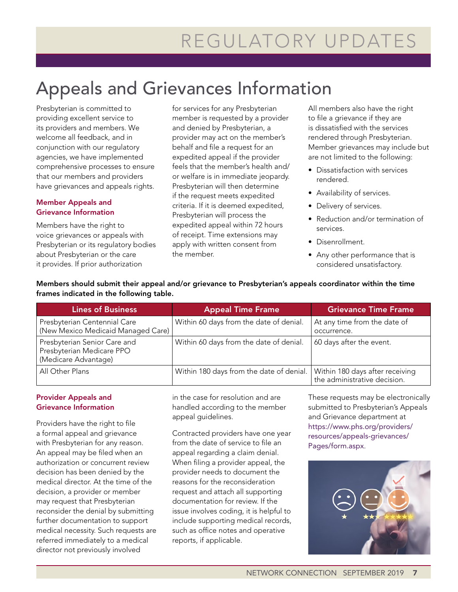## Appeals and Grievances Information

Presbyterian is committed to providing excellent service to its providers and members. We welcome all feedback, and in conjunction with our regulatory agencies, we have implemented comprehensive processes to ensure that our members and providers have grievances and appeals rights.

### Member Appeals and Grievance Information

Members have the right to voice grievances or appeals with Presbyterian or its regulatory bodies about Presbyterian or the care it provides. If prior authorization

for services for any Presbyterian member is requested by a provider and denied by Presbyterian, a provider may act on the member's behalf and file a request for an expedited appeal if the provider feels that the member's health and/ or welfare is in immediate jeopardy. Presbyterian will then determine if the request meets expedited criteria. If it is deemed expedited, Presbyterian will process the expedited appeal within 72 hours of receipt. Time extensions may apply with written consent from the member.

All members also have the right to file a grievance if they are is dissatisfied with the services rendered through Presbyterian. Member grievances may include but are not limited to the following:

- Dissatisfaction with services rendered.
- Availability of services.
- Delivery of services.
- Reduction and/or termination of services.
- Disenrollment.
- Any other performance that is considered unsatisfactory.

### Members should submit their appeal and/or grievance to Presbyterian's appeals coordinator within the time frames indicated in the following table.

| <b>Lines of Business</b>                                                          | <b>Appeal Time Frame</b>                 | <b>Grievance Time Frame</b>                                     |  |  |  |
|-----------------------------------------------------------------------------------|------------------------------------------|-----------------------------------------------------------------|--|--|--|
| Presbyterian Centennial Care<br>(New Mexico Medicaid Managed Care)                | Within 60 days from the date of denial.  | At any time from the date of<br>occurrence.                     |  |  |  |
| Presbyterian Senior Care and<br>Presbyterian Medicare PPO<br>(Medicare Advantage) | Within 60 days from the date of denial.  | 60 days after the event.                                        |  |  |  |
| All Other Plans                                                                   | Within 180 days from the date of denial. | Within 180 days after receiving<br>the administrative decision. |  |  |  |

### Provider Appeals and Grievance Information

Providers have the right to file a formal appeal and grievance with Presbyterian for any reason. An appeal may be filed when an authorization or concurrent review decision has been denied by the medical director. At the time of the decision, a provider or member may request that Presbyterian reconsider the denial by submitting further documentation to support medical necessity. Such requests are referred immediately to a medical director not previously involved

in the case for resolution and are handled according to the member appeal guidelines.

Contracted providers have one year from the date of service to file an appeal regarding a claim denial. When filing a provider appeal, the provider needs to document the reasons for the reconsideration request and attach all supporting documentation for review. If the issue involves coding, it is helpful to include supporting medical records, such as office notes and operative reports, if applicable.

These requests may be electronically submitted to Presbyterian's Appeals and Grievance department at [https://www.phs.org/providers/](https://www.phs.org/providers/resources/appeals-grievances/Pages/form.aspx) [resources/appeals-grievances/](https://www.phs.org/providers/resources/appeals-grievances/Pages/form.aspx) [Pages/form.aspx](https://www.phs.org/providers/resources/appeals-grievances/Pages/form.aspx).